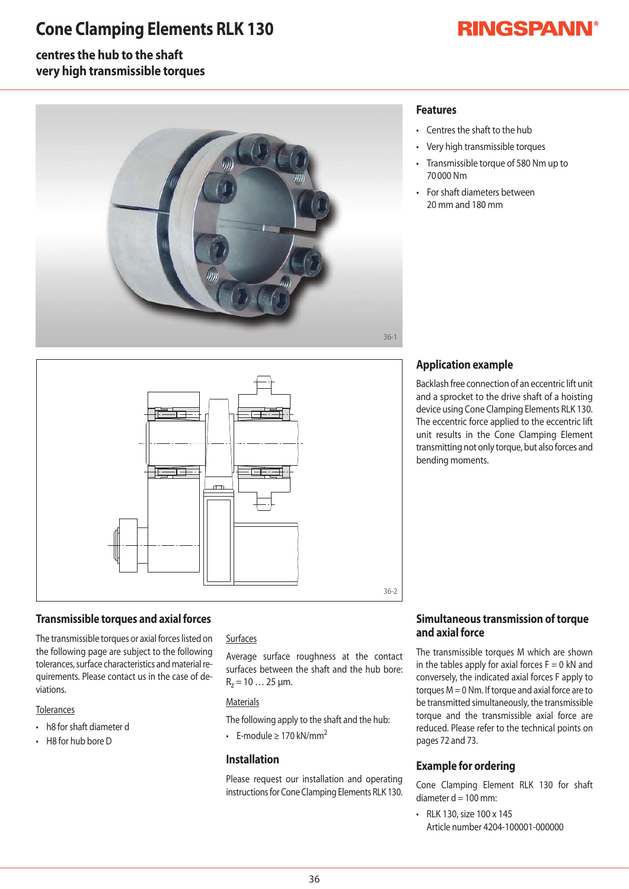## **Cone Clamping Elements RLK 130**

# **RINGSPANN®**

### **centres the hub to the shaft very high transmissible torques**



### **Features**

- Centres the shaft to the hub
- Very high transmissible torques
- Transmissible torque of 580 Nm up to 70000Nm
- For shaft diameters between 20mmand180mm



#### **Transmissible torques and axial forces**

The transmissible torques or axial forces listed on the following page are subject to the following tolerances, surface characteristics and material requirements. Please contact us in the case of deviations.

#### **Tolerances**

- h8 for shaft diameter d
- $\cdot$  H8 for hub bore D

#### **Surfaces**

Average surface roughness at the contact surfaces between the shaft and the hub bore:  $R_z = 10...25 \mu m$ .

#### **Materials**

- The following apply to the shaft and the hub:
- F-module > 170 kN/mm<sup>2</sup>

#### **Installation**

Please request our installation and operating instructions for Cone Clamping Elements RLK 130.

### **Application example**

Backlash free connection of an eccentric lift unit and a sprocket to the drive shaft of a hoisting device using Cone Clamping Elements RLK 130. The eccentric force applied to the eccentric lift unit results in the Cone Clamping Element transmitting not only torque, but also forces and bending moments.

#### **Simultaneous transmission of torque and axial force**

The transmissible torques M which are shownin the tables apply for axial forces  $F=0$  kN and conversely, the indicated axial forces F apply to torques  $M = 0$  Nm. If torque and axial force are to be transmitted simultaneously, the transmissible torque and the transmissible axial force are reduced. Please refer to the technical points on pages 72 and 73.

#### **Example for ordering**

Cone Clamping Element RLK 130 for shaft diameter  $d = 100$  mm:

• RLK 130, size 100 x 145 Article number 4204-100001-000000